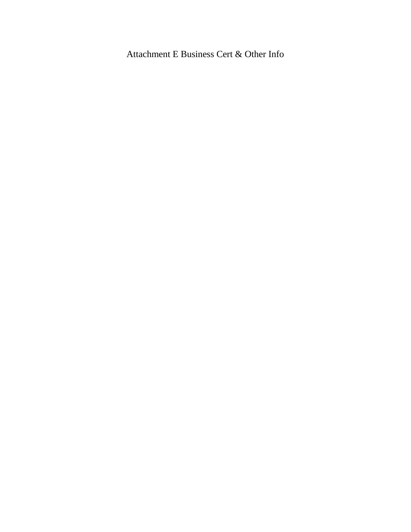Attachment E Business Cert & Other Info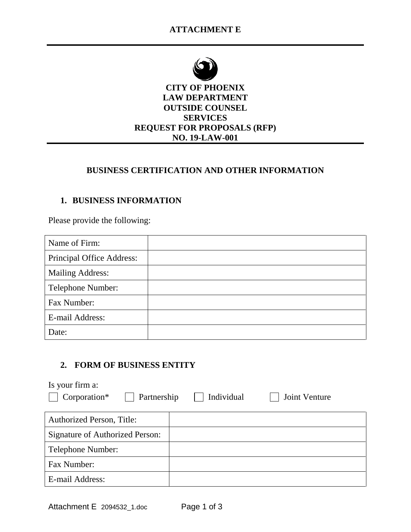

## **CITY OF PHOENIX LAW DEPARTMENT OUTSIDE COUNSEL SERVICES REQUEST FOR PROPOSALS (RFP) NO. 19-LAW-001**

## **BUSINESS CERTIFICATION AND OTHER INFORMATION**

# **1. BUSINESS INFORMATION**

Please provide the following:

| Name of Firm:             |  |
|---------------------------|--|
| Principal Office Address: |  |
| <b>Mailing Address:</b>   |  |
| Telephone Number:         |  |
| Fax Number:               |  |
| E-mail Address:           |  |
| Date:                     |  |

## **2. FORM OF BUSINESS ENTITY**

| Is your firm a:                  |            |                      |
|----------------------------------|------------|----------------------|
| Corporation*<br>Partnership      | Individual | <b>Joint Venture</b> |
|                                  |            |                      |
| <b>Authorized Person, Title:</b> |            |                      |
| Signature of Authorized Person:  |            |                      |
| Telephone Number:                |            |                      |
| Fax Number:                      |            |                      |
| E-mail Address:                  |            |                      |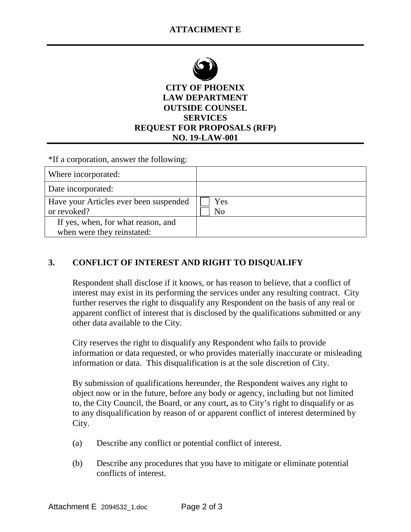

**CITY OF PHOENIX LAW DEPARTMENT OUTSIDE COUNSEL SERVICES REQUEST FOR PROPOSALS (RFP) NO. 19-LAW-001**

\*If a corporation, answer the following:

| Where incorporated:                                              |           |
|------------------------------------------------------------------|-----------|
| Date incorporated:                                               |           |
| Have your Articles ever been suspended<br>or revoked?            | Yes<br>No |
| If yes, when, for what reason, and<br>when were they reinstated: |           |

## **3. CONFLICT OF INTEREST AND RIGHT TO DISQUALIFY**

Respondent shall disclose if it knows, or has reason to believe, that a conflict of interest may exist in its performing the services under any resulting contract. City further reserves the right to disqualify any Respondent on the basis of any real or apparent conflict of interest that is disclosed by the qualifications submitted or any other data available to the City.

City reserves the right to disqualify any Respondent who fails to provide information or data requested, or who provides materially inaccurate or misleading information or data. This disqualification is at the sole discretion of City.

By submission of qualifications hereunder, the Respondent waives any right to object now or in the future, before any body or agency, including but not limited to, the City Council, the Board, or any court, as to City's right to disqualify or as to any disqualification by reason of or apparent conflict of interest determined by City.

- (a) Describe any conflict or potential conflict of interest.
- (b) Describe any procedures that you have to mitigate or eliminate potential conflicts of interest.